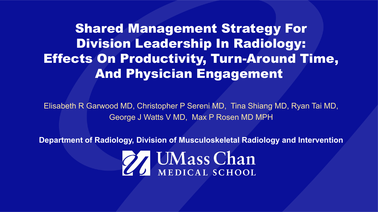Shared Management Strategy For Division Leadership In Radiology: Effects On Productivity, Turn-Around Time, And Physician Engagement

Elisabeth R Garwood MD, Christopher P Sereni MD, Tina Shiang MD, Ryan Tai MD, George J Watts V MD, Max P Rosen MD MPH

**Department of Radiology, Division of Musculoskeletal Radiology and Intervention**

27 UMass Chan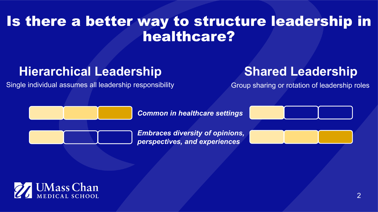#### Is there a better way to structure leadership in healthcare?

#### **Hierarchical Leadership Shared Leadership**

Single individual assumes all leadership responsibility Group sharing or rotation of leadership roles



*Common in healthcare settings*

*Embraces diversity of opinions, perspectives, and experiences*



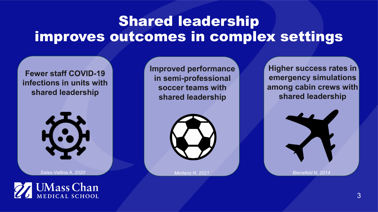## Shared leadership improves outcomes in complex settings

#### **Fewer staff COVID-19 infections in units with shared leadership**



*Salas-Vallina A, 2020*

**UMass Chan** EDICAL SCHOOL

**Improved performance in semi-professional soccer teams with shared leadership**



*Mertens N, 2021*

**Higher success rates in emergency simulations among cabin crews with shared leadership**

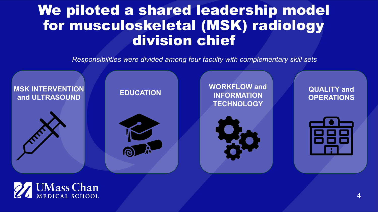### We piloted a shared leadership model for musculoskeletal (MSK) radiology division chief

*Responsibilities were divided among four faculty with complementary skill sets*



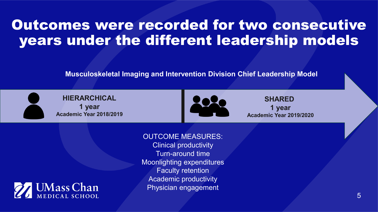### Outcomes were recorded for two consecutive years under the different leadership models

**Musculoskeletal Imaging and Intervention Division Chief Leadership Model**





**SHARED 1 year Academic Year 2019/2020**

OUTCOME MEASURES:

**UMass Chan** DICAL SCHOOL

Clinical productivity Turn-around time Moonlighting expenditures Faculty retention Academic productivity Physician engagement

5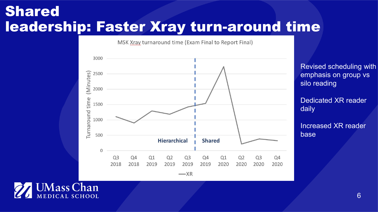#### Shared leadership: Faster Xray turn-around time

MSK Xray turnaround time (Exam Final to Report Final)



Revised scheduling with emphasis on group vs silo reading

Dedicated XR reader daily

Increased XR reader base

**UMass Chan** EDICAL SCHOOL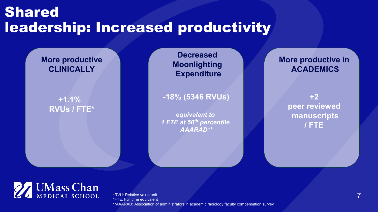### Shared leadership: Increased productivity

#### **More productive CLINICALLY**

#### **+1.1% RVUs / FTE\***

**Decreased Moonlighting Expenditure**

**-18% (5346 RVUs)**

*equivalent to 1 FTE at 50th percentile AAARAD\*\**

**More productive in ACADEMICS**

> **+2 peer reviewed manuscripts / FTE**



\*RVU: Relative value unit \*FTE: Full time equivalent \*\*AAARAD: Association of administrators in academic radiology faculty compensation survey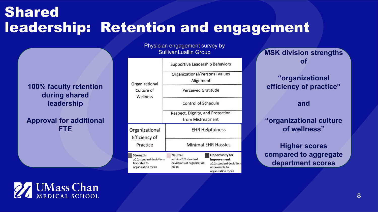### Shared leadership: Retention and engagement

**100% faculty retention during shared leadership**

**Approval for additional FTE**



Physician engagement survey by SullivanLuallin Group

**MSK division strengths of**

#### **"organizational efficiency of practice"**

#### **and**

**"organizational culture of wellness"**

**Higher scores compared to aggregate department scores** 

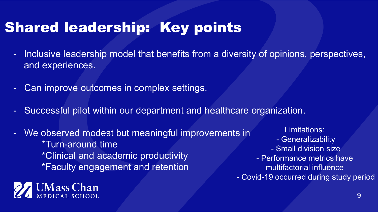# Shared leadership: Key points

- Inclusive leadership model that benefits from a diversity of opinions, perspectives, and experiences.
- Can improve outcomes in complex settings.
- Successful pilot within our department and healthcare organization.
- We observed modest but meaningful improvements in \*Turn-around time \*Clinical and academic productivity \*Faculty engagement and retention



Limitations: - Generalizability - Small division size - Performance metrics have multifactorial influence - Covid-19 occurred during study period